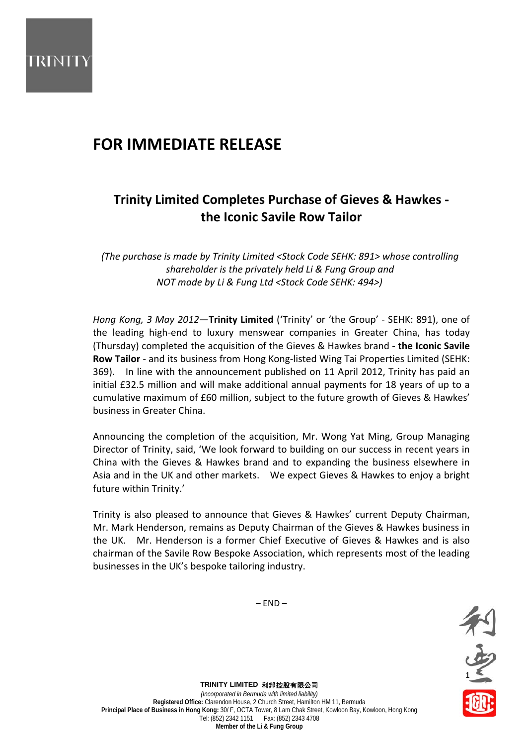

# **FOR IMMEDIATE RELEASE**

## **Trinity Limited Completes Purchase of Gieves & Hawkes ‐ the Iconic Savile Row Tailor**

*(The purchase is made by Trinity Limited <Stock Code SEHK: 891> whose controlling shareholder is the privately held Li & Fung Group and NOT made by Li & Fung Ltd <Stock Code SEHK: 494>)*

*Hong Kong, 3 May 2012*—**Trinity Limited** ('Trinity' or 'the Group' ‐ SEHK: 891), one of the leading high‐end to luxury menswear companies in Greater China, has today (Thursday) completed the acquisition of the Gieves & Hawkes brand ‐ **the Iconic Savile Row Tailor** ‐ and its business from Hong Kong‐listed Wing Tai Properties Limited (SEHK: 369). In line with the announcement published on 11 April 2012, Trinity has paid an initial £32.5 million and will make additional annual payments for 18 years of up to a cumulative maximum of £60 million, subject to the future growth of Gieves & Hawkes' business in Greater China.

Announcing the completion of the acquisition, Mr. Wong Yat Ming, Group Managing Director of Trinity, said, 'We look forward to building on our success in recent years in China with the Gieves & Hawkes brand and to expanding the business elsewhere in Asia and in the UK and other markets. We expect Gieves & Hawkes to enjoy a bright future within Trinity.'

Trinity is also pleased to announce that Gieves & Hawkes' current Deputy Chairman, Mr. Mark Henderson, remains as Deputy Chairman of the Gieves & Hawkes business in the UK. Mr. Henderson is a former Chief Executive of Gieves & Hawkes and is also chairman of the Savile Row Bespoke Association, which represents most of the leading businesses in the UK's bespoke tailoring industry.

 $-$  END $-$ 



**TRINITY LIMITED** 利邦控股有限公司 *(Incorporated in Bermuda with limited liability)* **Registered Office:** Clarendon House, 2 Church Street, Hamilton HM 11, Bermuda **Principal Place of Business in Hong Kong:** 30/ F, OCTA Tower, 8 Lam Chak Street, Kowloon Bay, Kowloon, Hong Kong Tel: (852) 2342 1151 Fax: (852) 2343 4708 **Member of the Li & Fung Group**